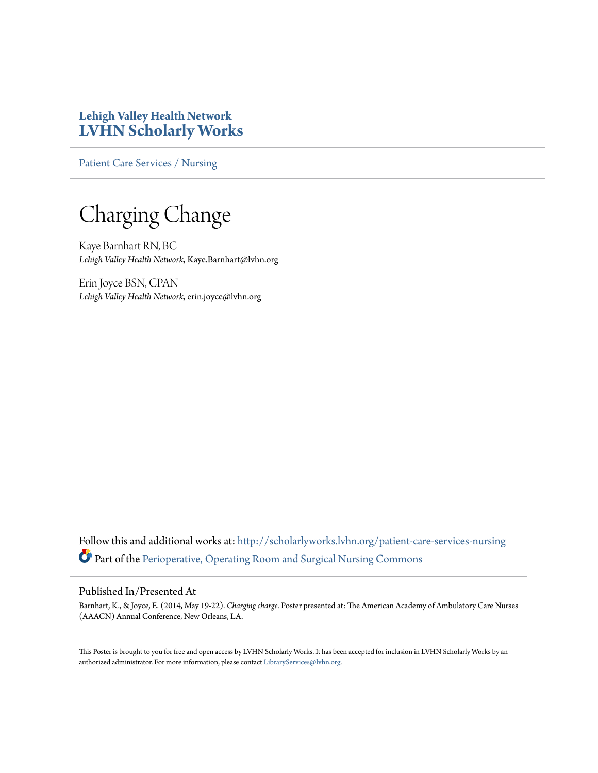## **Lehigh Valley Health Network [LVHN Scholarly Works](http://scholarlyworks.lvhn.org?utm_source=scholarlyworks.lvhn.org%2Fpatient-care-services-nursing%2F320&utm_medium=PDF&utm_campaign=PDFCoverPages)**

[Patient Care Services / Nursing](http://scholarlyworks.lvhn.org/patient-care-services-nursing?utm_source=scholarlyworks.lvhn.org%2Fpatient-care-services-nursing%2F320&utm_medium=PDF&utm_campaign=PDFCoverPages)

Charging Change

Kaye Barnhart RN, BC *Lehigh Valley Health Network*, Kaye.Barnhart@lvhn.org

Erin Joyce BSN, CPAN *Lehigh Valley Health Network*, erin.joyce@lvhn.org

Follow this and additional works at: [http://scholarlyworks.lvhn.org/patient-care-services-nursing](http://scholarlyworks.lvhn.org/patient-care-services-nursing?utm_source=scholarlyworks.lvhn.org%2Fpatient-care-services-nursing%2F320&utm_medium=PDF&utm_campaign=PDFCoverPages) Part of the [Perioperative, Operating Room and Surgical Nursing Commons](http://network.bepress.com/hgg/discipline/726?utm_source=scholarlyworks.lvhn.org%2Fpatient-care-services-nursing%2F320&utm_medium=PDF&utm_campaign=PDFCoverPages)

## Published In/Presented At

Barnhart, K., & Joyce, E. (2014, May 19-22). *Charging charge*. Poster presented at: The American Academy of Ambulatory Care Nurses (AAACN) Annual Conference, New Orleans, LA.

This Poster is brought to you for free and open access by LVHN Scholarly Works. It has been accepted for inclusion in LVHN Scholarly Works by an authorized administrator. For more information, please contact [LibraryServices@lvhn.org.](mailto:LibraryServices@lvhn.org)